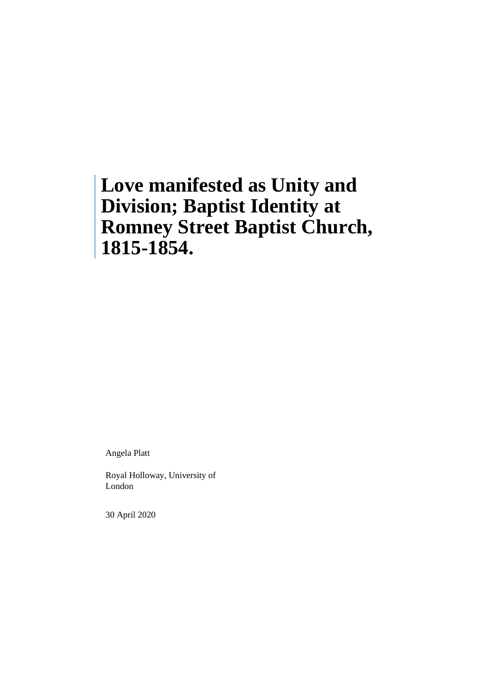# **Love manifested as Unity and Division; Baptist Identity at Romney Street Baptist Church, 1815-1854.**

Angela Platt

Royal Holloway, University of London

30 April 2020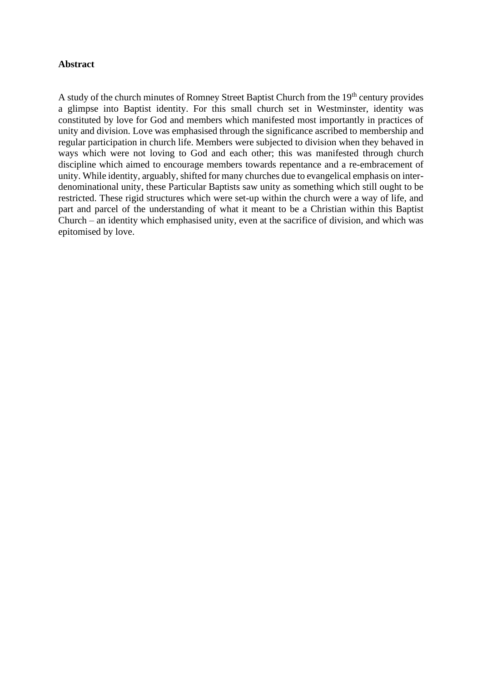#### **Abstract**

A study of the church minutes of Romney Street Baptist Church from the 19<sup>th</sup> century provides a glimpse into Baptist identity. For this small church set in Westminster, identity was constituted by love for God and members which manifested most importantly in practices of unity and division. Love was emphasised through the significance ascribed to membership and regular participation in church life. Members were subjected to division when they behaved in ways which were not loving to God and each other; this was manifested through church discipline which aimed to encourage members towards repentance and a re-embracement of unity. While identity, arguably, shifted for many churches due to evangelical emphasis on interdenominational unity, these Particular Baptists saw unity as something which still ought to be restricted. These rigid structures which were set-up within the church were a way of life, and part and parcel of the understanding of what it meant to be a Christian within this Baptist Church – an identity which emphasised unity, even at the sacrifice of division, and which was epitomised by love.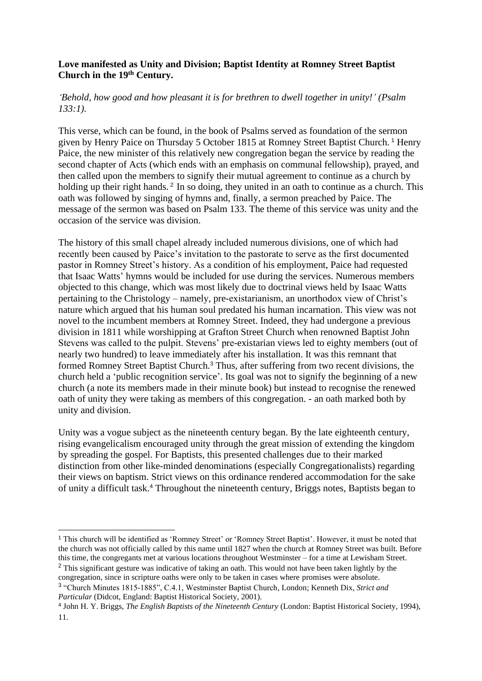# **Love manifested as Unity and Division; Baptist Identity at Romney Street Baptist Church in the 19th Century.**

# *'Behold, how good and how pleasant it is for brethren to dwell together in unity!' (Psalm 133:1).*

This verse, which can be found, in the book of Psalms served as foundation of the sermon given by Henry Paice on Thursday 5 October 1815 at Romney Street Baptist Church. <sup>1</sup> Henry Paice, the new minister of this relatively new congregation began the service by reading the second chapter of Acts (which ends with an emphasis on communal fellowship), prayed, and then called upon the members to signify their mutual agreement to continue as a church by holding up their right hands.<sup>2</sup> In so doing, they united in an oath to continue as a church. This oath was followed by singing of hymns and, finally, a sermon preached by Paice. The message of the sermon was based on Psalm 133. The theme of this service was unity and the occasion of the service was division.

The history of this small chapel already included numerous divisions, one of which had recently been caused by Paice's invitation to the pastorate to serve as the first documented pastor in Romney Street's history. As a condition of his employment, Paice had requested that Isaac Watts' hymns would be included for use during the services. Numerous members objected to this change, which was most likely due to doctrinal views held by Isaac Watts pertaining to the Christology – namely, pre-existarianism, an unorthodox view of Christ's nature which argued that his human soul predated his human incarnation. This view was not novel to the incumbent members at Romney Street. Indeed, they had undergone a previous division in 1811 while worshipping at Grafton Street Church when renowned Baptist John Stevens was called to the pulpit. Stevens' pre-existarian views led to eighty members (out of nearly two hundred) to leave immediately after his installation. It was this remnant that formed Romney Street Baptist Church.<sup>3</sup> Thus, after suffering from two recent divisions, the church held a 'public recognition service'. Its goal was not to signify the beginning of a new church (a note its members made in their minute book) but instead to recognise the renewed oath of unity they were taking as members of this congregation. - an oath marked both by unity and division.

Unity was a vogue subject as the nineteenth century began. By the late eighteenth century, rising evangelicalism encouraged unity through the great mission of extending the kingdom by spreading the gospel. For Baptists, this presented challenges due to their marked distinction from other like-minded denominations (especially Congregationalists) regarding their views on baptism. Strict views on this ordinance rendered accommodation for the sake of unity a difficult task.<sup>4</sup> Throughout the nineteenth century, Briggs notes, Baptists began to

<sup>1</sup> This church will be identified as 'Romney Street' or 'Romney Street Baptist'. However, it must be noted that the church was not officially called by this name until 1827 when the church at Romney Street was built. Before this time, the congregants met at various locations throughout Westminster – for a time at Lewisham Street. <sup>2</sup> This significant gesture was indicative of taking an oath. This would not have been taken lightly by the

congregation, since in scripture oaths were only to be taken in cases where promises were absolute. 3 "Church Minutes 1815-1885", C.4.1, Westminster Baptist Church, London; Kenneth Dix, *Strict and* 

*Particular* (Didcot, England: Baptist Historical Society, 2001).

<sup>4</sup> John H. Y. Briggs, *The English Baptists of the Nineteenth Century* (London: Baptist Historical Society, 1994), 11.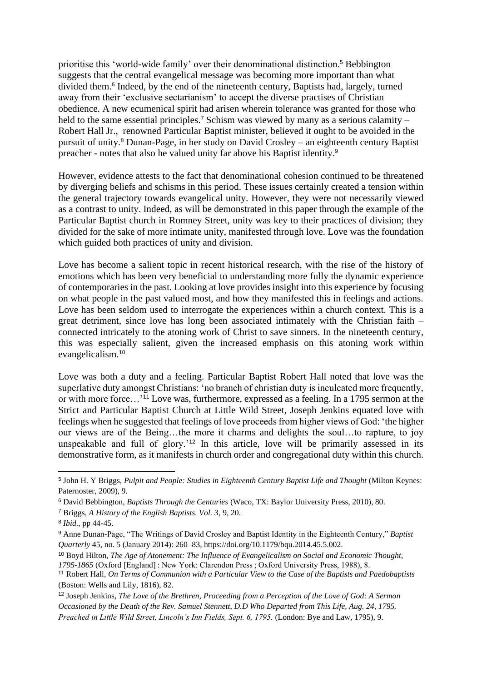prioritise this 'world-wide family' over their denominational distinction.<sup>5</sup> Bebbington suggests that the central evangelical message was becoming more important than what divided them.<sup>6</sup> Indeed, by the end of the nineteenth century, Baptists had, largely, turned away from their 'exclusive sectarianism' to accept the diverse practises of Christian obedience. A new ecumenical spirit had arisen wherein tolerance was granted for those who held to the same essential principles.<sup>7</sup> Schism was viewed by many as a serious calamity – Robert Hall Jr., renowned Particular Baptist minister, believed it ought to be avoided in the pursuit of unity.<sup>8</sup> Dunan-Page, in her study on David Crosley – an eighteenth century Baptist preacher - notes that also he valued unity far above his Baptist identity.<sup>9</sup>

However, evidence attests to the fact that denominational cohesion continued to be threatened by diverging beliefs and schisms in this period. These issues certainly created a tension within the general trajectory towards evangelical unity. However, they were not necessarily viewed as a contrast to unity. Indeed, as will be demonstrated in this paper through the example of the Particular Baptist church in Romney Street, unity was key to their practices of division; they divided for the sake of more intimate unity, manifested through love. Love was the foundation which guided both practices of unity and division.

Love has become a salient topic in recent historical research, with the rise of the history of emotions which has been very beneficial to understanding more fully the dynamic experience of contemporaries in the past. Looking at love provides insight into this experience by focusing on what people in the past valued most, and how they manifested this in feelings and actions. Love has been seldom used to interrogate the experiences within a church context. This is a great detriment, since love has long been associated intimately with the Christian faith – connected intricately to the atoning work of Christ to save sinners. In the nineteenth century, this was especially salient, given the increased emphasis on this atoning work within evangelicalism.<sup>10</sup>

Love was both a duty and a feeling. Particular Baptist Robert Hall noted that love was the superlative duty amongst Christians: 'no branch of christian duty is inculcated more frequently, or with more force…'<sup>11</sup> Love was, furthermore, expressed as a feeling. In a 1795 sermon at the Strict and Particular Baptist Church at Little Wild Street, Joseph Jenkins equated love with feelings when he suggested that feelings of love proceeds from higher views of God: 'the higher our views are of the Being…the more it charms and delights the soul…to rapture, to joy unspeakable and full of glory.<sup> $12$ </sup> In this article, love will be primarily assessed in its demonstrative form, as it manifests in church order and congregational duty within this church.

<sup>5</sup> John H. Y Briggs, *Pulpit and People: Studies in Eighteenth Century Baptist Life and Thought* (Milton Keynes: Paternoster, 2009), 9.

<sup>6</sup> David Bebbington, *Baptists Through the Centuries* (Waco, TX: Baylor University Press, 2010), 80.

<sup>7</sup> Briggs, *A History of the English Baptists. Vol. 3*, 9, 20.

<sup>8</sup> *Ibid.,* pp 44-45.

<sup>9</sup> Anne Dunan-Page, "The Writings of David Crosley and Baptist Identity in the Eighteenth Century," *Baptist Quarterly* 45, no. 5 (January 2014): 260–83, https://doi.org/10.1179/bqu.2014.45.5.002.

<sup>10</sup> Boyd Hilton, *The Age of Atonement: The Influence of Evangelicalism on Social and Economic Thought, 1795-1865* (Oxford [England] : New York: Clarendon Press ; Oxford University Press, 1988), 8.

<sup>11</sup> Robert Hall, *On Terms of Communion with a Particular View to the Case of the Baptists and Paedobaptists* (Boston: Wells and Lily, 1816), 82.

<sup>12</sup> Joseph Jenkins, *The Love of the Brethren, Proceeding from a Perception of the Love of God: A Sermon Occasioned by the Death of the Rev. Samuel Stennett, D.D Who Departed from This Life, Aug. 24, 1795. Preached in Little Wild Street, Lincoln's Inn Fields, Sept. 6, 1795.* (London: Bye and Law, 1795), 9.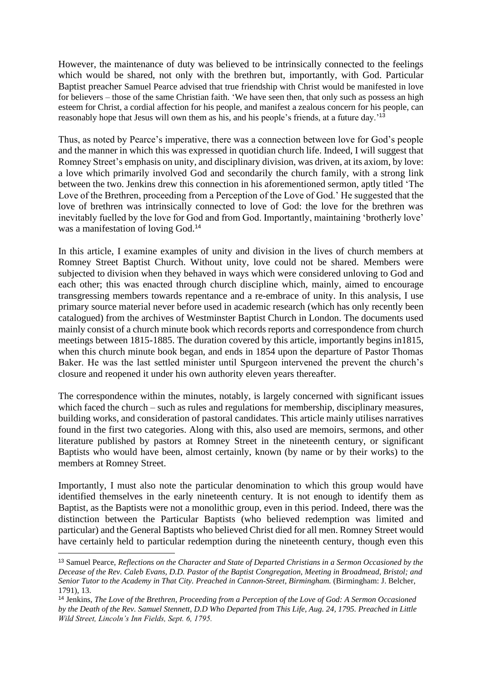However, the maintenance of duty was believed to be intrinsically connected to the feelings which would be shared, not only with the brethren but, importantly, with God. Particular Baptist preacher Samuel Pearce advised that true friendship with Christ would be manifested in love for believers – those of the same Christian faith. 'We have seen then, that only such as possess an high esteem for Christ, a cordial affection for his people, and manifest a zealous concern for his people, can reasonably hope that Jesus will own them as his, and his people's friends, at a future day.'<sup>13</sup>

Thus, as noted by Pearce's imperative, there was a connection between love for God's people and the manner in which this was expressed in quotidian church life. Indeed, I will suggest that Romney Street's emphasis on unity, and disciplinary division, was driven, at its axiom, by love: a love which primarily involved God and secondarily the church family, with a strong link between the two. Jenkins drew this connection in his aforementioned sermon, aptly titled 'The Love of the Brethren, proceeding from a Perception of the Love of God.' He suggested that the love of brethren was intrinsically connected to love of God: the love for the brethren was inevitably fuelled by the love for God and from God. Importantly, maintaining 'brotherly love' was a manifestation of loving God.<sup>14</sup>

In this article, I examine examples of unity and division in the lives of church members at Romney Street Baptist Church. Without unity, love could not be shared. Members were subjected to division when they behaved in ways which were considered unloving to God and each other; this was enacted through church discipline which, mainly, aimed to encourage transgressing members towards repentance and a re-embrace of unity. In this analysis, I use primary source material never before used in academic research (which has only recently been catalogued) from the archives of Westminster Baptist Church in London. The documents used mainly consist of a church minute book which records reports and correspondence from church meetings between 1815-1885. The duration covered by this article, importantly begins in1815, when this church minute book began, and ends in 1854 upon the departure of Pastor Thomas Baker. He was the last settled minister until Spurgeon intervened the prevent the church's closure and reopened it under his own authority eleven years thereafter.

The correspondence within the minutes, notably, is largely concerned with significant issues which faced the church – such as rules and regulations for membership, disciplinary measures, building works, and consideration of pastoral candidates. This article mainly utilises narratives found in the first two categories. Along with this, also used are memoirs, sermons, and other literature published by pastors at Romney Street in the nineteenth century, or significant Baptists who would have been, almost certainly, known (by name or by their works) to the members at Romney Street.

Importantly, I must also note the particular denomination to which this group would have identified themselves in the early nineteenth century. It is not enough to identify them as Baptist, as the Baptists were not a monolithic group, even in this period. Indeed, there was the distinction between the Particular Baptists (who believed redemption was limited and particular) and the General Baptists who believed Christ died for all men. Romney Street would have certainly held to particular redemption during the nineteenth century, though even this

<sup>13</sup> Samuel Pearce, *Reflections on the Character and State of Departed Christians in a Sermon Occasioned by the Decease of the Rev. Caleb Evans, D.D. Pastor of the Baptist Congregation, Meeting in Broadmead, Bristol; and Senior Tutor to the Academy in That City. Preached in Cannon-Street, Birmingham.* (Birmingham: J. Belcher, 1791), 13.

<sup>14</sup> Jenkins, *The Love of the Brethren, Proceeding from a Perception of the Love of God: A Sermon Occasioned by the Death of the Rev. Samuel Stennett, D.D Who Departed from This Life, Aug. 24, 1795. Preached in Little Wild Street, Lincoln's Inn Fields, Sept. 6, 1795.*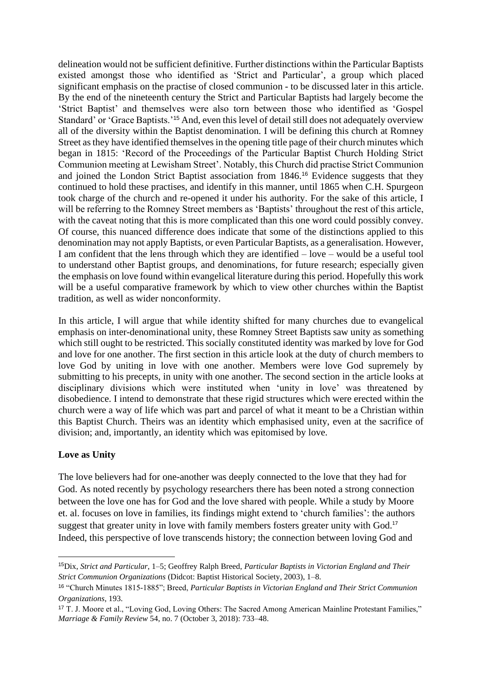delineation would not be sufficient definitive. Further distinctions within the Particular Baptists existed amongst those who identified as 'Strict and Particular', a group which placed significant emphasis on the practise of closed communion - to be discussed later in this article. By the end of the nineteenth century the Strict and Particular Baptists had largely become the 'Strict Baptist' and themselves were also torn between those who identified as 'Gospel Standard' or 'Grace Baptists.'<sup>15</sup> And, even this level of detail still does not adequately overview all of the diversity within the Baptist denomination. I will be defining this church at Romney Street as they have identified themselves in the opening title page of their church minutes which began in 1815: 'Record of the Proceedings of the Particular Baptist Church Holding Strict Communion meeting at Lewisham Street'. Notably, this Church did practise Strict Communion and joined the London Strict Baptist association from 1846. <sup>16</sup> Evidence suggests that they continued to hold these practises, and identify in this manner, until 1865 when C.H. Spurgeon took charge of the church and re-opened it under his authority. For the sake of this article, I will be referring to the Romney Street members as 'Baptists' throughout the rest of this article, with the caveat noting that this is more complicated than this one word could possibly convey. Of course, this nuanced difference does indicate that some of the distinctions applied to this denomination may not apply Baptists, or even Particular Baptists, as a generalisation. However, I am confident that the lens through which they are identified – love – would be a useful tool to understand other Baptist groups, and denominations, for future research; especially given the emphasis on love found within evangelical literature during this period. Hopefully this work will be a useful comparative framework by which to view other churches within the Baptist tradition, as well as wider nonconformity.

In this article, I will argue that while identity shifted for many churches due to evangelical emphasis on inter-denominational unity, these Romney Street Baptists saw unity as something which still ought to be restricted. This socially constituted identity was marked by love for God and love for one another. The first section in this article look at the duty of church members to love God by uniting in love with one another. Members were love God supremely by submitting to his precepts, in unity with one another. The second section in the article looks at disciplinary divisions which were instituted when 'unity in love' was threatened by disobedience. I intend to demonstrate that these rigid structures which were erected within the church were a way of life which was part and parcel of what it meant to be a Christian within this Baptist Church. Theirs was an identity which emphasised unity, even at the sacrifice of division; and, importantly, an identity which was epitomised by love.

## **Love as Unity**

The love believers had for one-another was deeply connected to the love that they had for God. As noted recently by psychology researchers there has been noted a strong connection between the love one has for God and the love shared with people. While a study by Moore et. al. focuses on love in families, its findings might extend to 'church families': the authors suggest that greater unity in love with family members fosters greater unity with God.<sup>17</sup> Indeed, this perspective of love transcends history; the connection between loving God and

<sup>15</sup>Dix, *Strict and Particular*, 1–5; Geoffrey Ralph Breed, *Particular Baptists in Victorian England and Their Strict Communion Organizations* (Didcot: Baptist Historical Society, 2003), 1–8.

<sup>16</sup> "Church Minutes 1815-1885"; Breed, *Particular Baptists in Victorian England and Their Strict Communion Organizations*, 193.

<sup>17</sup> T. J. Moore et al., "Loving God, Loving Others: The Sacred Among American Mainline Protestant Families," *Marriage & Family Review* 54, no. 7 (October 3, 2018): 733–48.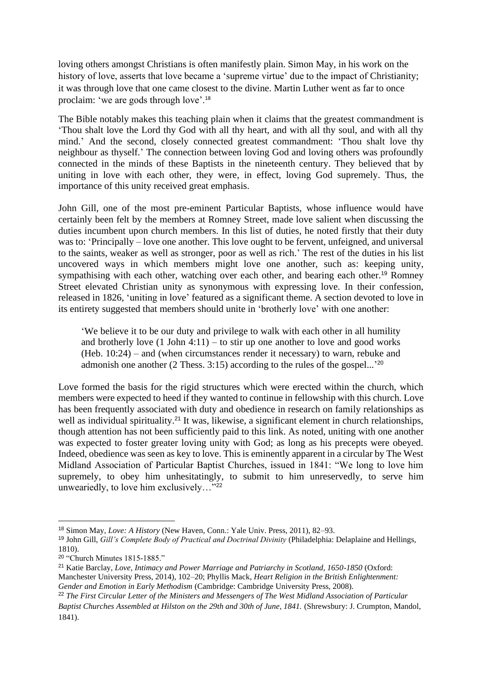loving others amongst Christians is often manifestly plain. Simon May, in his work on the history of love, asserts that love became a 'supreme virtue' due to the impact of Christianity; it was through love that one came closest to the divine. Martin Luther went as far to once proclaim: 'we are gods through love'.<sup>18</sup>

The Bible notably makes this teaching plain when it claims that the greatest commandment is 'Thou shalt love the Lord thy God with all thy heart, and with all thy soul, and with all thy mind.' And the second, closely connected greatest commandment: 'Thou shalt love thy neighbour as thyself.' The connection between loving God and loving others was profoundly connected in the minds of these Baptists in the nineteenth century. They believed that by uniting in love with each other, they were, in effect, loving God supremely. Thus, the importance of this unity received great emphasis.

John Gill, one of the most pre-eminent Particular Baptists, whose influence would have certainly been felt by the members at Romney Street, made love salient when discussing the duties incumbent upon church members. In this list of duties, he noted firstly that their duty was to: 'Principally – love one another. This love ought to be fervent, unfeigned, and universal to the saints, weaker as well as stronger, poor as well as rich.' The rest of the duties in his list uncovered ways in which members might love one another, such as: keeping unity, sympathising with each other, watching over each other, and bearing each other.<sup>19</sup> Romney Street elevated Christian unity as synonymous with expressing love. In their confession, released in 1826, 'uniting in love' featured as a significant theme. A section devoted to love in its entirety suggested that members should unite in 'brotherly love' with one another:

'We believe it to be our duty and privilege to walk with each other in all humility and brotherly love  $(1$  John  $4:11$ ) – to stir up one another to love and good works (Heb. 10:24) – and (when circumstances render it necessary) to warn, rebuke and admonish one another (2 Thess. 3:15) according to the rules of the gospel...'<sup>20</sup>

Love formed the basis for the rigid structures which were erected within the church, which members were expected to heed if they wanted to continue in fellowship with this church. Love has been frequently associated with duty and obedience in research on family relationships as well as individual spirituality.<sup>21</sup> It was, likewise, a significant element in church relationships, though attention has not been sufficiently paid to this link. As noted, uniting with one another was expected to foster greater loving unity with God; as long as his precepts were obeyed. Indeed, obedience was seen as key to love. This is eminently apparent in a circular by The West Midland Association of Particular Baptist Churches, issued in 1841: "We long to love him supremely, to obey him unhesitatingly, to submit to him unreservedly, to serve him unweariedly, to love him exclusively…"<sup>22</sup>

<sup>18</sup> Simon May, *Love: A History* (New Haven, Conn.: Yale Univ. Press, 2011), 82–93.

<sup>19</sup> John Gill, *Gill's Complete Body of Practical and Doctrinal Divinity* (Philadelphia: Delaplaine and Hellings, 1810).

<sup>20</sup> "Church Minutes 1815-1885."

<sup>21</sup> Katie Barclay, *Love, Intimacy and Power Marriage and Patriarchy in Scotland, 1650-1850* (Oxford: Manchester University Press, 2014), 102–20; Phyllis Mack, *Heart Religion in the British Enlightenment: Gender and Emotion in Early Methodism* (Cambridge: Cambridge University Press, 2008).

<sup>22</sup> *The First Circular Letter of the Ministers and Messengers of The West Midland Association of Particular Baptist Churches Assembled at Hilston on the 29th and 30th of June, 1841.* (Shrewsbury: J. Crumpton, Mandol, 1841).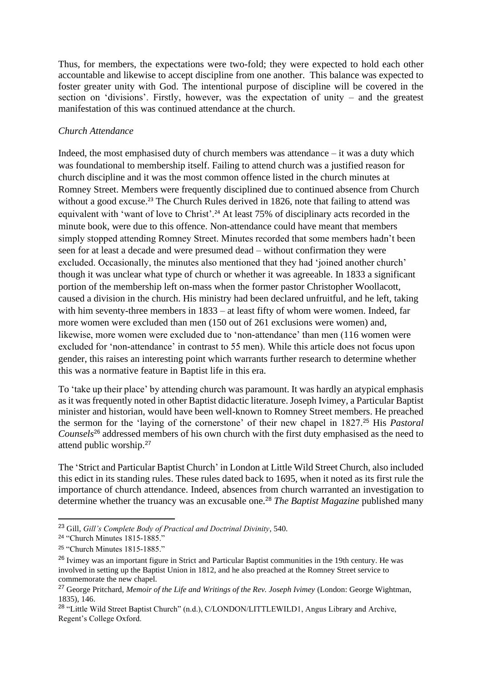Thus, for members, the expectations were two-fold; they were expected to hold each other accountable and likewise to accept discipline from one another. This balance was expected to foster greater unity with God. The intentional purpose of discipline will be covered in the section on 'divisions'. Firstly, however, was the expectation of unity – and the greatest manifestation of this was continued attendance at the church.

# *Church Attendance*

Indeed, the most emphasised duty of church members was attendance – it was a duty which was foundational to membership itself. Failing to attend church was a justified reason for church discipline and it was the most common offence listed in the church minutes at Romney Street. Members were frequently disciplined due to continued absence from Church without a good excuse.<sup>23</sup> The Church Rules derived in 1826, note that failing to attend was equivalent with 'want of love to Christ'.<sup>24</sup> At least 75% of disciplinary acts recorded in the minute book, were due to this offence. Non-attendance could have meant that members simply stopped attending Romney Street. Minutes recorded that some members hadn't been seen for at least a decade and were presumed dead – without confirmation they were excluded. Occasionally, the minutes also mentioned that they had 'joined another church' though it was unclear what type of church or whether it was agreeable. In 1833 a significant portion of the membership left on-mass when the former pastor Christopher Woollacott, caused a division in the church. His ministry had been declared unfruitful, and he left, taking with him seventy-three members in 1833 – at least fifty of whom were women. Indeed, far more women were excluded than men (150 out of 261 exclusions were women) and, likewise, more women were excluded due to 'non-attendance' than men (116 women were excluded for 'non-attendance' in contrast to 55 men). While this article does not focus upon gender, this raises an interesting point which warrants further research to determine whether this was a normative feature in Baptist life in this era.

To 'take up their place' by attending church was paramount. It was hardly an atypical emphasis as it wasfrequently noted in other Baptist didactic literature.Joseph Ivimey, a Particular Baptist minister and historian, would have been well-known to Romney Street members. He preached the sermon for the 'laying of the cornerstone' of their new chapel in 1827.<sup>25</sup> His *Pastoral Counsels*<sup>26</sup> addressed members of his own church with the first duty emphasised as the need to attend public worship.<sup>27</sup>

The 'Strict and Particular Baptist Church' in London at Little Wild Street Church, also included this edict in its standing rules. These rules dated back to 1695, when it noted as its first rule the importance of church attendance. Indeed, absences from church warranted an investigation to determine whether the truancy was an excusable one.<sup>28</sup> *The Baptist Magazine* published many

<sup>23</sup> Gill, *Gill's Complete Body of Practical and Doctrinal Divinity*, 540.

<sup>24</sup> "Church Minutes 1815-1885."

<sup>25</sup> "Church Minutes 1815-1885."

<sup>&</sup>lt;sup>26</sup> Ivimey was an important figure in Strict and Particular Baptist communities in the 19th century. He was involved in setting up the Baptist Union in 1812, and he also preached at the Romney Street service to commemorate the new chapel.

<sup>27</sup> George Pritchard, *Memoir of the Life and Writings of the Rev. Joseph Ivimey* (London: George Wightman, 1835), 146.

<sup>&</sup>lt;sup>28</sup> "Little Wild Street Baptist Church" (n.d.), C/LONDON/LITTLEWILD1, Angus Library and Archive, Regent's College Oxford.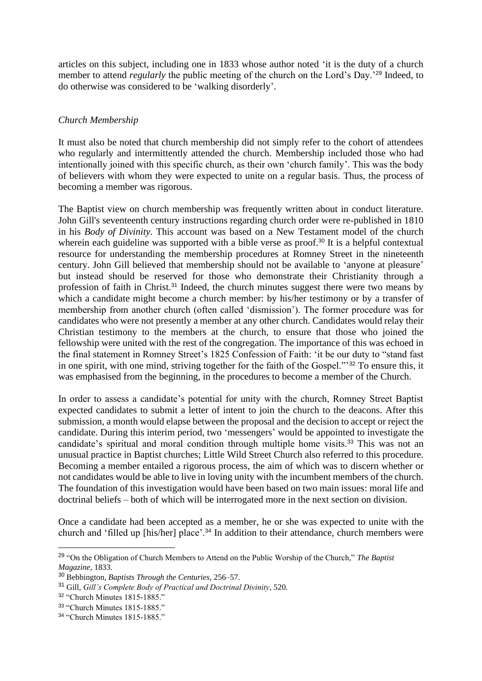articles on this subject, including one in 1833 whose author noted 'it is the duty of a church member to attend *regularly* the public meeting of the church on the Lord's Day.<sup>'29</sup> Indeed, to do otherwise was considered to be 'walking disorderly'.

# *Church Membership*

It must also be noted that church membership did not simply refer to the cohort of attendees who regularly and intermittently attended the church. Membership included those who had intentionally joined with this specific church, as their own 'church family'. This was the body of believers with whom they were expected to unite on a regular basis. Thus, the process of becoming a member was rigorous.

The Baptist view on church membership was frequently written about in conduct literature. John Gill's seventeenth century instructions regarding church order were re-published in 1810 in his *Body of Divinity.* This account was based on a New Testament model of the church wherein each guideline was supported with a bible verse as proof.<sup>30</sup> It is a helpful contextual resource for understanding the membership procedures at Romney Street in the nineteenth century. John Gill believed that membership should not be available to 'anyone at pleasure' but instead should be reserved for those who demonstrate their Christianity through a profession of faith in Christ.<sup>31</sup> Indeed, the church minutes suggest there were two means by which a candidate might become a church member: by his/her testimony or by a transfer of membership from another church (often called 'dismission'). The former procedure was for candidates who were not presently a member at any other church. Candidates would relay their Christian testimony to the members at the church, to ensure that those who joined the fellowship were united with the rest of the congregation. The importance of this was echoed in the final statement in Romney Street's 1825 Confession of Faith: 'it be our duty to "stand fast in one spirit, with one mind, striving together for the faith of the Gospel."'<sup>32</sup> To ensure this, it was emphasised from the beginning, in the procedures to become a member of the Church.

In order to assess a candidate's potential for unity with the church, Romney Street Baptist expected candidates to submit a letter of intent to join the church to the deacons. After this submission, a month would elapse between the proposal and the decision to accept or reject the candidate. During this interim period, two 'messengers' would be appointed to investigate the candidate's spiritual and moral condition through multiple home visits.<sup>33</sup> This was not an unusual practice in Baptist churches; Little Wild Street Church also referred to this procedure. Becoming a member entailed a rigorous process, the aim of which was to discern whether or not candidates would be able to live in loving unity with the incumbent members of the church. The foundation of this investigation would have been based on two main issues: moral life and doctrinal beliefs – both of which will be interrogated more in the next section on division.

Once a candidate had been accepted as a member, he or she was expected to unite with the church and 'filled up [his/her] place'.<sup>34</sup> In addition to their attendance, church members were

<sup>29</sup> "On the Obligation of Church Members to Attend on the Public Worship of the Church," *The Baptist Magazine*, 1833.

<sup>30</sup> Bebbington, *Baptists Through the Centuries*, 256–57.

<sup>31</sup> Gill, *Gill's Complete Body of Practical and Doctrinal Divinity*, 520.

<sup>32</sup> "Church Minutes 1815-1885."

<sup>33</sup> "Church Minutes 1815-1885."

<sup>34</sup> "Church Minutes 1815-1885."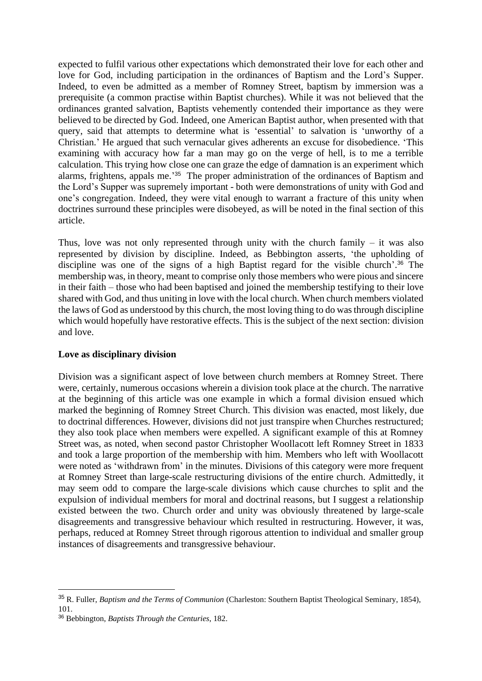expected to fulfil various other expectations which demonstrated their love for each other and love for God, including participation in the ordinances of Baptism and the Lord's Supper. Indeed, to even be admitted as a member of Romney Street, baptism by immersion was a prerequisite (a common practise within Baptist churches). While it was not believed that the ordinances granted salvation, Baptists vehemently contended their importance as they were believed to be directed by God. Indeed, one American Baptist author, when presented with that query, said that attempts to determine what is 'essential' to salvation is 'unworthy of a Christian.' He argued that such vernacular gives adherents an excuse for disobedience. 'This examining with accuracy how far a man may go on the verge of hell, is to me a terrible calculation. This trying how close one can graze the edge of damnation is an experiment which alarms, frightens, appals me.' 35 The proper administration of the ordinances of Baptism and the Lord's Supper was supremely important - both were demonstrations of unity with God and one's congregation. Indeed, they were vital enough to warrant a fracture of this unity when doctrines surround these principles were disobeyed, as will be noted in the final section of this article.

Thus, love was not only represented through unity with the church family  $-$  it was also represented by division by discipline. Indeed, as Bebbington asserts, 'the upholding of discipline was one of the signs of a high Baptist regard for the visible church'. <sup>36</sup> The membership was, in theory, meant to comprise only those members who were pious and sincere in their faith – those who had been baptised and joined the membership testifying to their love shared with God, and thus uniting in love with the local church. When church members violated the laws of God as understood by this church, the most loving thing to do was through discipline which would hopefully have restorative effects. This is the subject of the next section: division and love.

## **Love as disciplinary division**

Division was a significant aspect of love between church members at Romney Street. There were, certainly, numerous occasions wherein a division took place at the church. The narrative at the beginning of this article was one example in which a formal division ensued which marked the beginning of Romney Street Church. This division was enacted, most likely, due to doctrinal differences. However, divisions did not just transpire when Churches restructured; they also took place when members were expelled. A significant example of this at Romney Street was, as noted, when second pastor Christopher Woollacott left Romney Street in 1833 and took a large proportion of the membership with him. Members who left with Woollacott were noted as 'withdrawn from' in the minutes. Divisions of this category were more frequent at Romney Street than large-scale restructuring divisions of the entire church. Admittedly, it may seem odd to compare the large-scale divisions which cause churches to split and the expulsion of individual members for moral and doctrinal reasons, but I suggest a relationship existed between the two. Church order and unity was obviously threatened by large-scale disagreements and transgressive behaviour which resulted in restructuring. However, it was, perhaps, reduced at Romney Street through rigorous attention to individual and smaller group instances of disagreements and transgressive behaviour.

<sup>35</sup> R. Fuller, *Baptism and the Terms of Communion* (Charleston: Southern Baptist Theological Seminary, 1854), 101.

<sup>36</sup> Bebbington, *Baptists Through the Centuries*, 182.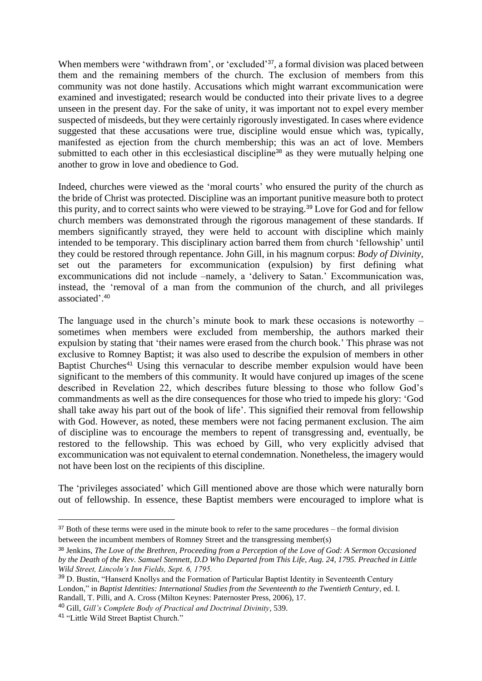When members were 'withdrawn from', or 'excluded'<sup>37</sup>, a formal division was placed between them and the remaining members of the church. The exclusion of members from this community was not done hastily. Accusations which might warrant excommunication were examined and investigated; research would be conducted into their private lives to a degree unseen in the present day. For the sake of unity, it was important not to expel every member suspected of misdeeds, but they were certainly rigorously investigated. In cases where evidence suggested that these accusations were true, discipline would ensue which was, typically, manifested as ejection from the church membership; this was an act of love. Members submitted to each other in this ecclesiastical discipline<sup>38</sup> as they were mutually helping one another to grow in love and obedience to God.

Indeed, churches were viewed as the 'moral courts' who ensured the purity of the church as the bride of Christ was protected. Discipline was an important punitive measure both to protect this purity, and to correct saints who were viewed to be straying.<sup>39</sup> Love for God and for fellow church members was demonstrated through the rigorous management of these standards. If members significantly strayed, they were held to account with discipline which mainly intended to be temporary. This disciplinary action barred them from church 'fellowship' until they could be restored through repentance. John Gill, in his magnum corpus: *Body of Divinity,* set out the parameters for excommunication (expulsion) by first defining what excommunications did not include *–*namely, a 'delivery to Satan.' Excommunication was, instead, the 'removal of a man from the communion of the church, and all privileges associated'. 40

The language used in the church's minute book to mark these occasions is noteworthy – sometimes when members were excluded from membership, the authors marked their expulsion by stating that 'their names were erased from the church book.' This phrase was not exclusive to Romney Baptist; it was also used to describe the expulsion of members in other Baptist Churches<sup>41</sup> Using this vernacular to describe member expulsion would have been significant to the members of this community. It would have conjured up images of the scene described in Revelation 22, which describes future blessing to those who follow God's commandments as well as the dire consequences for those who tried to impede his glory: 'God shall take away his part out of the book of life'. This signified their removal from fellowship with God. However, as noted, these members were not facing permanent exclusion. The aim of discipline was to encourage the members to repent of transgressing and, eventually, be restored to the fellowship. This was echoed by Gill, who very explicitly advised that excommunication was not equivalent to eternal condemnation. Nonetheless, the imagery would not have been lost on the recipients of this discipline.

The 'privileges associated' which Gill mentioned above are those which were naturally born out of fellowship. In essence, these Baptist members were encouraged to implore what is

 $37$  Both of these terms were used in the minute book to refer to the same procedures – the formal division between the incumbent members of Romney Street and the transgressing member(s)

<sup>38</sup> Jenkins, *The Love of the Brethren, Proceeding from a Perception of the Love of God: A Sermon Occasioned by the Death of the Rev. Samuel Stennett, D.D Who Departed from This Life, Aug. 24, 1795. Preached in Little Wild Street, Lincoln's Inn Fields, Sept. 6, 1795.*

<sup>&</sup>lt;sup>39</sup> D. Bustin, "Hanserd Knollys and the Formation of Particular Baptist Identity in Seventeenth Century London," in *Baptist Identities: International Studies from the Seventeenth to the Twentieth Century*, ed. I. Randall, T. Pilli, and A. Cross (Milton Keynes: Paternoster Press, 2006), 17.

<sup>40</sup> Gill, *Gill's Complete Body of Practical and Doctrinal Divinity*, 539.

<sup>41</sup> "Little Wild Street Baptist Church."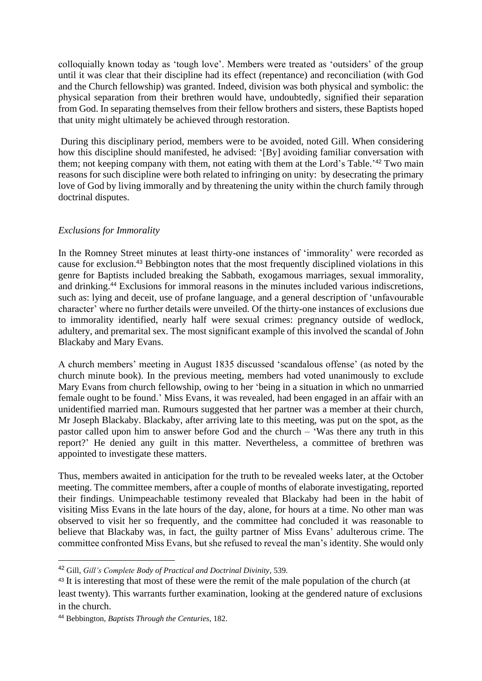colloquially known today as 'tough love'. Members were treated as 'outsiders' of the group until it was clear that their discipline had its effect (repentance) and reconciliation (with God and the Church fellowship) was granted. Indeed, division was both physical and symbolic: the physical separation from their brethren would have, undoubtedly, signified their separation from God. In separating themselves from their fellow brothers and sisters, these Baptists hoped that unity might ultimately be achieved through restoration.

During this disciplinary period, members were to be avoided, noted Gill. When considering how this discipline should manifested, he advised: '[By] avoiding familiar conversation with them; not keeping company with them, not eating with them at the Lord's Table.<sup>'42</sup> Two main reasons for such discipline were both related to infringing on unity: by desecrating the primary love of God by living immorally and by threatening the unity within the church family through doctrinal disputes.

## *Exclusions for Immorality*

In the Romney Street minutes at least thirty-one instances of 'immorality' were recorded as cause for exclusion.<sup>43</sup> Bebbington notes that the most frequently disciplined violations in this genre for Baptists included breaking the Sabbath, exogamous marriages, sexual immorality, and drinking.<sup>44</sup> Exclusions for immoral reasons in the minutes included various indiscretions, such as: lying and deceit, use of profane language, and a general description of 'unfavourable character' where no further details were unveiled. Of the thirty-one instances of exclusions due to immorality identified, nearly half were sexual crimes: pregnancy outside of wedlock, adultery, and premarital sex. The most significant example of this involved the scandal of John Blackaby and Mary Evans.

A church members' meeting in August 1835 discussed 'scandalous offense' (as noted by the church minute book). In the previous meeting, members had voted unanimously to exclude Mary Evans from church fellowship, owing to her 'being in a situation in which no unmarried female ought to be found.' Miss Evans, it was revealed, had been engaged in an affair with an unidentified married man. Rumours suggested that her partner was a member at their church, Mr Joseph Blackaby. Blackaby, after arriving late to this meeting, was put on the spot, as the pastor called upon him to answer before God and the church – 'Was there any truth in this report?' He denied any guilt in this matter. Nevertheless, a committee of brethren was appointed to investigate these matters.

Thus, members awaited in anticipation for the truth to be revealed weeks later, at the October meeting. The committee members, after a couple of months of elaborate investigating, reported their findings. Unimpeachable testimony revealed that Blackaby had been in the habit of visiting Miss Evans in the late hours of the day, alone, for hours at a time. No other man was observed to visit her so frequently, and the committee had concluded it was reasonable to believe that Blackaby was, in fact, the guilty partner of Miss Evans' adulterous crime. The committee confronted Miss Evans, but she refused to reveal the man's identity. She would only

<sup>42</sup> Gill, *Gill's Complete Body of Practical and Doctrinal Divinity*, 539.

<sup>&</sup>lt;sup>43</sup> It is interesting that most of these were the remit of the male population of the church (at least twenty). This warrants further examination, looking at the gendered nature of exclusions in the church.

<sup>44</sup> Bebbington, *Baptists Through the Centuries*, 182.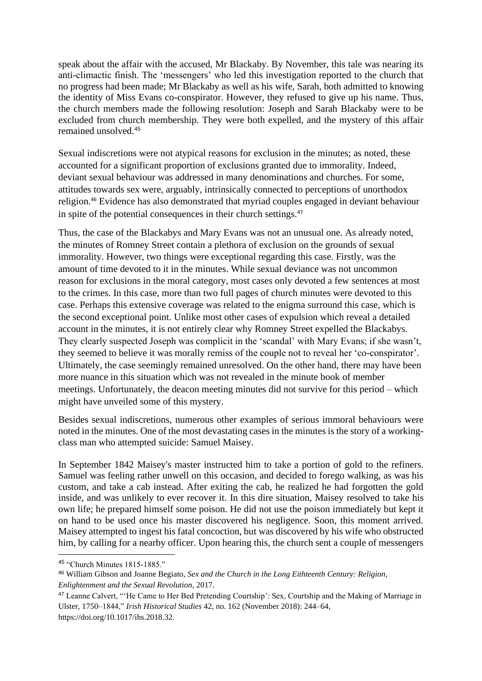speak about the affair with the accused, Mr Blackaby. By November, this tale was nearing its anti-climactic finish. The 'messengers' who led this investigation reported to the church that no progress had been made; Mr Blackaby as well as his wife, Sarah, both admitted to knowing the identity of Miss Evans co-conspirator. However, they refused to give up his name. Thus, the church members made the following resolution: Joseph and Sarah Blackaby were to be excluded from church membership. They were both expelled, and the mystery of this affair remained unsolved.<sup>45</sup>

Sexual indiscretions were not atypical reasons for exclusion in the minutes; as noted, these accounted for a significant proportion of exclusions granted due to immorality. Indeed, deviant sexual behaviour was addressed in many denominations and churches. For some, attitudes towards sex were, arguably, intrinsically connected to perceptions of unorthodox religion.<sup>46</sup> Evidence has also demonstrated that myriad couples engaged in deviant behaviour in spite of the potential consequences in their church settings.<sup>47</sup>

Thus, the case of the Blackabys and Mary Evans was not an unusual one. As already noted, the minutes of Romney Street contain a plethora of exclusion on the grounds of sexual immorality. However, two things were exceptional regarding this case. Firstly, was the amount of time devoted to it in the minutes. While sexual deviance was not uncommon reason for exclusions in the moral category, most cases only devoted a few sentences at most to the crimes. In this case, more than two full pages of church minutes were devoted to this case. Perhaps this extensive coverage was related to the enigma surround this case, which is the second exceptional point. Unlike most other cases of expulsion which reveal a detailed account in the minutes, it is not entirely clear why Romney Street expelled the Blackabys. They clearly suspected Joseph was complicit in the 'scandal' with Mary Evans; if she wasn't, they seemed to believe it was morally remiss of the couple not to reveal her 'co-conspirator'. Ultimately, the case seemingly remained unresolved. On the other hand, there may have been more nuance in this situation which was not revealed in the minute book of member meetings. Unfortunately, the deacon meeting minutes did not survive for this period – which might have unveiled some of this mystery.

Besides sexual indiscretions, numerous other examples of serious immoral behaviours were noted in the minutes. One of the most devastating cases in the minutes is the story of a workingclass man who attempted suicide: Samuel Maisey.

In September 1842 Maisey's master instructed him to take a portion of gold to the refiners. Samuel was feeling rather unwell on this occasion, and decided to forego walking, as was his custom, and take a cab instead. After exiting the cab, he realized he had forgotten the gold inside, and was unlikely to ever recover it. In this dire situation, Maisey resolved to take his own life; he prepared himself some poison. He did not use the poison immediately but kept it on hand to be used once his master discovered his negligence. Soon, this moment arrived. Maisey attempted to ingest his fatal concoction, but was discovered by his wife who obstructed him, by calling for a nearby officer. Upon hearing this, the church sent a couple of messengers

<sup>45</sup> "Church Minutes 1815-1885."

<sup>46</sup> William Gibson and Joanne Begiato, *Sex and the Church in the Long Eithteenth Century: Religion, Enlightenment and the Sexual Revolution*, 2017.

<sup>47</sup> Leanne Calvert, "'He Came to Her Bed Pretending Courtship': Sex, Courtship and the Making of Marriage in Ulster, 1750–1844," *Irish Historical Studies* 42, no. 162 (November 2018): 244–64, https://doi.org/10.1017/ihs.2018.32.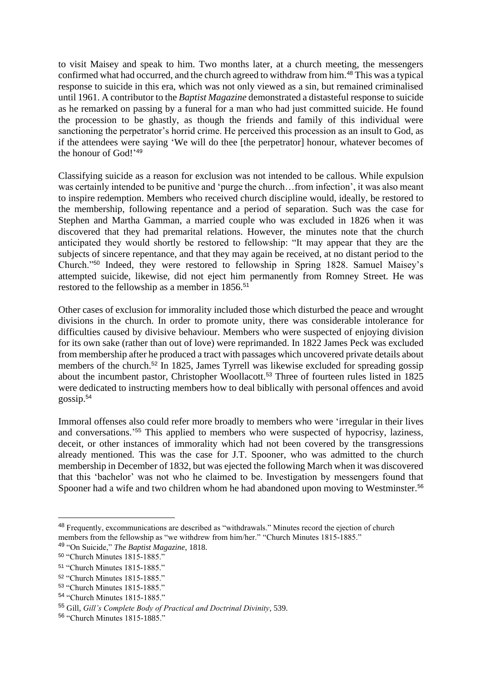to visit Maisey and speak to him. Two months later, at a church meeting, the messengers confirmed what had occurred, and the church agreed to withdraw from him.<sup>48</sup> This was a typical response to suicide in this era, which was not only viewed as a sin, but remained criminalised until 1961. A contributor to the *Baptist Magazine* demonstrated a distasteful response to suicide as he remarked on passing by a funeral for a man who had just committed suicide. He found the procession to be ghastly, as though the friends and family of this individual were sanctioning the perpetrator's horrid crime. He perceived this procession as an insult to God, as if the attendees were saying 'We will do thee [the perpetrator] honour, whatever becomes of the honour of God!' 49

Classifying suicide as a reason for exclusion was not intended to be callous. While expulsion was certainly intended to be punitive and 'purge the church…from infection', it was also meant to inspire redemption. Members who received church discipline would, ideally, be restored to the membership, following repentance and a period of separation. Such was the case for Stephen and Martha Gamman, a married couple who was excluded in 1826 when it was discovered that they had premarital relations. However, the minutes note that the church anticipated they would shortly be restored to fellowship: "It may appear that they are the subjects of sincere repentance, and that they may again be received, at no distant period to the Church."<sup>50</sup> Indeed, they were restored to fellowship in Spring 1828. Samuel Maisey's attempted suicide, likewise, did not eject him permanently from Romney Street. He was restored to the fellowship as a member in 1856.<sup>51</sup>

Other cases of exclusion for immorality included those which disturbed the peace and wrought divisions in the church. In order to promote unity, there was considerable intolerance for difficulties caused by divisive behaviour. Members who were suspected of enjoying division for its own sake (rather than out of love) were reprimanded. In 1822 James Peck was excluded from membership after he produced a tract with passages which uncovered private details about members of the church.<sup>52</sup> In 1825, James Tyrrell was likewise excluded for spreading gossip about the incumbent pastor, Christopher Woollacott.<sup>53</sup> Three of fourteen rules listed in 1825 were dedicated to instructing members how to deal biblically with personal offences and avoid gossip.<sup>54</sup>

Immoral offenses also could refer more broadly to members who were 'irregular in their lives and conversations.' <sup>55</sup> This applied to members who were suspected of hypocrisy, laziness, deceit, or other instances of immorality which had not been covered by the transgressions already mentioned. This was the case for J.T. Spooner, who was admitted to the church membership in December of 1832, but was ejected the following March when it was discovered that this 'bachelor' was not who he claimed to be. Investigation by messengers found that Spooner had a wife and two children whom he had abandoned upon moving to Westminster.<sup>56</sup>

<sup>48</sup> Frequently, excommunications are described as "withdrawals." Minutes record the ejection of church members from the fellowship as "we withdrew from him/her." "Church Minutes 1815-1885."

<sup>49</sup> "On Suicide," *The Baptist Magazine*, 1818.

<sup>50</sup> "Church Minutes 1815-1885."

<sup>51</sup> "Church Minutes 1815-1885."

<sup>52</sup> "Church Minutes 1815-1885."

<sup>53</sup> "Church Minutes 1815-1885."

<sup>54</sup> "Church Minutes 1815-1885."

<sup>55</sup> Gill, *Gill's Complete Body of Practical and Doctrinal Divinity*, 539.

<sup>56</sup> "Church Minutes 1815-1885."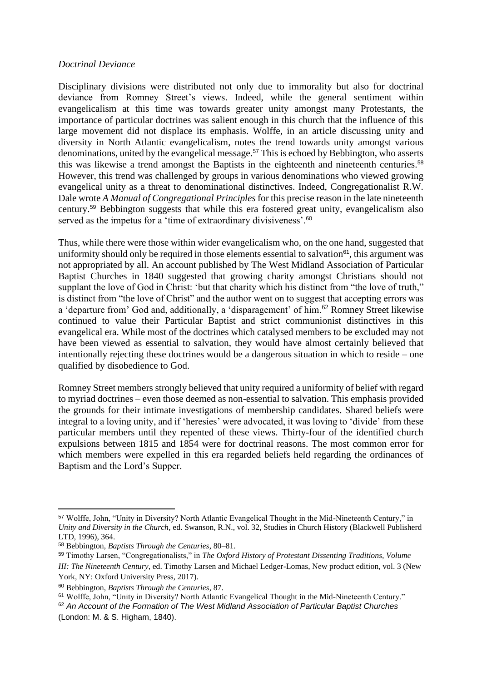#### *Doctrinal Deviance*

Disciplinary divisions were distributed not only due to immorality but also for doctrinal deviance from Romney Street's views. Indeed, while the general sentiment within evangelicalism at this time was towards greater unity amongst many Protestants, the importance of particular doctrines was salient enough in this church that the influence of this large movement did not displace its emphasis. Wolffe, in an article discussing unity and diversity in North Atlantic evangelicalism, notes the trend towards unity amongst various denominations, united by the evangelical message.<sup>57</sup> This is echoed by Bebbington, who asserts this was likewise a trend amongst the Baptists in the eighteenth and nineteenth centuries.<sup>58</sup> However, this trend was challenged by groups in various denominations who viewed growing evangelical unity as a threat to denominational distinctives. Indeed, Congregationalist R.W. Dale wrote *A Manual of Congregational Principles* for this precise reason in the late nineteenth century.<sup>59</sup> Bebbington suggests that while this era fostered great unity, evangelicalism also served as the impetus for a 'time of extraordinary divisiveness'.<sup>60</sup>

Thus, while there were those within wider evangelicalism who, on the one hand, suggested that uniformity should only be required in those elements essential to salvation $61$ , this argument was not appropriated by all. An account published by The West Midland Association of Particular Baptist Churches in 1840 suggested that growing charity amongst Christians should not supplant the love of God in Christ: 'but that charity which his distinct from "the love of truth," is distinct from "the love of Christ" and the author went on to suggest that accepting errors was a 'departure from' God and, additionally, a 'disparagement' of him.<sup>62</sup> Romney Street likewise continued to value their Particular Baptist and strict communionist distinctives in this evangelical era. While most of the doctrines which catalysed members to be excluded may not have been viewed as essential to salvation, they would have almost certainly believed that intentionally rejecting these doctrines would be a dangerous situation in which to reside – one qualified by disobedience to God.

Romney Street members strongly believed that unity required a uniformity of belief with regard to myriad doctrines – even those deemed as non-essential to salvation. This emphasis provided the grounds for their intimate investigations of membership candidates. Shared beliefs were integral to a loving unity, and if 'heresies' were advocated, it was loving to 'divide' from these particular members until they repented of these views. Thirty-four of the identified church expulsions between 1815 and 1854 were for doctrinal reasons. The most common error for which members were expelled in this era regarded beliefs held regarding the ordinances of Baptism and the Lord's Supper.

<sup>57</sup> Wolffe, John, "Unity in Diversity? North Atlantic Evangelical Thought in the Mid-Nineteenth Century," in *Unity and Diversity in the Church*, ed. Swanson, R.N., vol. 32, Studies in Church History (Blackwell Publisherd LTD, 1996), 364.

<sup>58</sup> Bebbington, *Baptists Through the Centuries*, 80–81.

<sup>59</sup> Timothy Larsen, "Congregationalists," in *The Oxford History of Protestant Dissenting Traditions, Volume III: The Nineteenth Century*, ed. Timothy Larsen and Michael Ledger-Lomas, New product edition, vol. 3 (New York, NY: Oxford University Press, 2017).

<sup>60</sup> Bebbington, *Baptists Through the Centuries*, 87.

<sup>61</sup> Wolffe, John, "Unity in Diversity? North Atlantic Evangelical Thought in the Mid-Nineteenth Century."

<sup>62</sup> *An Account of the Formation of The West Midland Association of Particular Baptist Churches* (London: M. & S. Higham, 1840).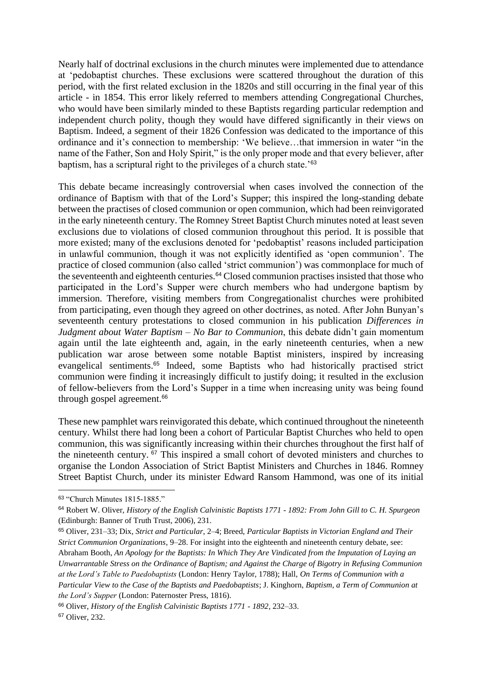Nearly half of doctrinal exclusions in the church minutes were implemented due to attendance at 'pedobaptist churches. These exclusions were scattered throughout the duration of this period, with the first related exclusion in the 1820s and still occurring in the final year of this article - in 1854. This error likely referred to members attending Congregational Churches, who would have been similarly minded to these Baptists regarding particular redemption and independent church polity, though they would have differed significantly in their views on Baptism. Indeed, a segment of their 1826 Confession was dedicated to the importance of this ordinance and it's connection to membership: 'We believe…that immersion in water "in the name of the Father, Son and Holy Spirit," is the only proper mode and that every believer, after baptism, has a scriptural right to the privileges of a church state.'<sup>63</sup>

This debate became increasingly controversial when cases involved the connection of the ordinance of Baptism with that of the Lord's Supper; this inspired the long-standing debate between the practises of closed communion or open communion, which had been reinvigorated in the early nineteenth century. The Romney Street Baptist Church minutes noted at least seven exclusions due to violations of closed communion throughout this period. It is possible that more existed; many of the exclusions denoted for 'pedobaptist' reasons included participation in unlawful communion, though it was not explicitly identified as 'open communion'. The practice of closed communion (also called 'strict communion') was commonplace for much of the seventeenth and eighteenth centuries.<sup>64</sup> Closed communion practises insisted that those who participated in the Lord's Supper were church members who had undergone baptism by immersion. Therefore, visiting members from Congregationalist churches were prohibited from participating, even though they agreed on other doctrines, as noted. After John Bunyan's seventeenth century protestations to closed communion in his publication *Differences in Judgment about Water Baptism – No Bar to Communion*, this debate didn't gain momentum again until the late eighteenth and, again, in the early nineteenth centuries, when a new publication war arose between some notable Baptist ministers, inspired by increasing evangelical sentiments. <sup>65</sup> Indeed, some Baptists who had historically practised strict communion were finding it increasingly difficult to justify doing; it resulted in the exclusion of fellow-believers from the Lord's Supper in a time when increasing unity was being found through gospel agreement.<sup>66</sup>

These new pamphlet wars reinvigorated this debate, which continued throughout the nineteenth century. Whilst there had long been a cohort of Particular Baptist Churches who held to open communion, this was significantly increasing within their churches throughout the first half of the nineteenth century. <sup>67</sup> This inspired a small cohort of devoted ministers and churches to organise the London Association of Strict Baptist Ministers and Churches in 1846. Romney Street Baptist Church, under its minister Edward Ransom Hammond, was one of its initial

<sup>63</sup> "Church Minutes 1815-1885."

<sup>64</sup> Robert W. Oliver, *History of the English Calvinistic Baptists 1771 - 1892: From John Gill to C. H. Spurgeon* (Edinburgh: Banner of Truth Trust, 2006), 231.

<sup>65</sup> Oliver, 231–33; Dix, *Strict and Particular*, 2–4; Breed, *Particular Baptists in Victorian England and Their Strict Communion Organizations*, 9–28. For insight into the eighteenth and nineteenth century debate, see: Abraham Booth, *An Apology for the Baptists: In Which They Are Vindicated from the Imputation of Laying an Unwarrantable Stress on the Ordinance of Baptism; and Against the Charge of Bigotry in Refusing Communion at the Lord's Table to Paedobaptists* (London: Henry Taylor, 1788); Hall, *On Terms of Communion with a Particular View to the Case of the Baptists and Paedobaptists*; J. Kinghorn, *Baptism, a Term of Communion at the Lord's Supper* (London: Paternoster Press, 1816).

<sup>66</sup> Oliver, *History of the English Calvinistic Baptists 1771 - 1892*, 232–33. <sup>67</sup> Oliver, 232.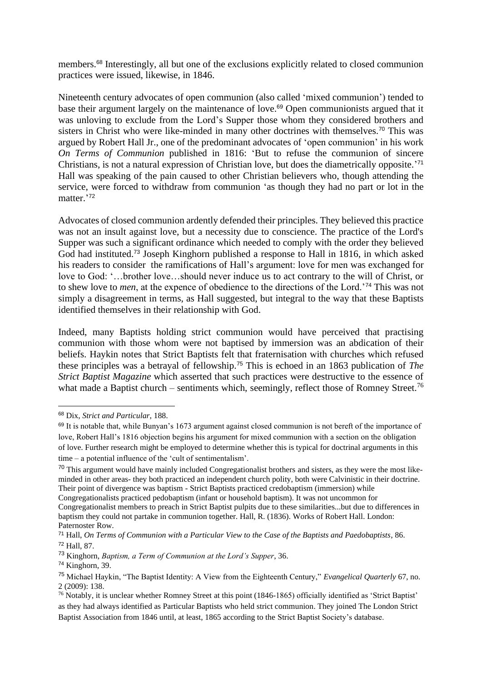members.<sup>68</sup> Interestingly, all but one of the exclusions explicitly related to closed communion practices were issued, likewise, in 1846.

Nineteenth century advocates of open communion (also called 'mixed communion') tended to base their argument largely on the maintenance of love.<sup>69</sup> Open communionists argued that it was unloving to exclude from the Lord's Supper those whom they considered brothers and sisters in Christ who were like-minded in many other doctrines with themselves.<sup>70</sup> This was argued by Robert Hall Jr., one of the predominant advocates of 'open communion' in his work *On Terms of Communion* published in 1816: 'But to refuse the communion of sincere Christians, is not a natural expression of Christian love, but does the diametrically opposite.' 71 Hall was speaking of the pain caused to other Christian believers who, though attending the service, were forced to withdraw from communion 'as though they had no part or lot in the matter.'<sup>72</sup>

Advocates of closed communion ardently defended their principles. They believed this practice was not an insult against love, but a necessity due to conscience. The practice of the Lord's Supper was such a significant ordinance which needed to comply with the order they believed God had instituted.<sup>73</sup> Joseph Kinghorn published a response to Hall in 1816, in which asked his readers to consider the ramifications of Hall's argument: love for men was exchanged for love to God: '…brother love…should never induce us to act contrary to the will of Christ, or to shew love to *men*, at the expence of obedience to the directions of the Lord.'<sup>74</sup> This was not simply a disagreement in terms, as Hall suggested, but integral to the way that these Baptists identified themselves in their relationship with God.

Indeed, many Baptists holding strict communion would have perceived that practising communion with those whom were not baptised by immersion was an abdication of their beliefs. Haykin notes that Strict Baptists felt that fraternisation with churches which refused these principles was a betrayal of fellowship.<sup>75</sup> This is echoed in an 1863 publication of *The Strict Baptist Magazine* which asserted that such practices were destructive to the essence of what made a Baptist church – sentiments which, seemingly, reflect those of Romney Street.<sup>76</sup>

<sup>68</sup> Dix, *Strict and Particular*, 188.

<sup>69</sup> It is notable that, while Bunyan's 1673 argument against closed communion is not bereft of the importance of love, Robert Hall's 1816 objection begins his argument for mixed communion with a section on the obligation of love. Further research might be employed to determine whether this is typical for doctrinal arguments in this time – a potential influence of the 'cult of sentimentalism'.

<sup>&</sup>lt;sup>70</sup> This argument would have mainly included Congregationalist brothers and sisters, as they were the most likeminded in other areas- they both practiced an independent church polity, both were Calvinistic in their doctrine. Their point of divergence was baptism - Strict Baptists practiced credobaptism (immersion) while

Congregationalists practiced pedobaptism (infant or household baptism). It was not uncommon for Congregationalist members to preach in Strict Baptist pulpits due to these similarities...but due to differences in baptism they could not partake in communion together. Hall, R. (1836). Works of Robert Hall. London: Paternoster Row.

<sup>71</sup> Hall, *On Terms of Communion with a Particular View to the Case of the Baptists and Paedobaptists*, 86. <sup>72</sup> Hall, 87.

<sup>73</sup> Kinghorn, *Baptism, a Term of Communion at the Lord's Supper*, 36.

<sup>74</sup> Kinghorn, 39.

<sup>75</sup> Michael Haykin, "The Baptist Identity: A View from the Eighteenth Century," *Evangelical Quarterly* 67, no. 2 (2009): 138.

<sup>76</sup> Notably, it is unclear whether Romney Street at this point (1846-1865) officially identified as 'Strict Baptist' as they had always identified as Particular Baptists who held strict communion. They joined The London Strict Baptist Association from 1846 until, at least, 1865 according to the Strict Baptist Society's database.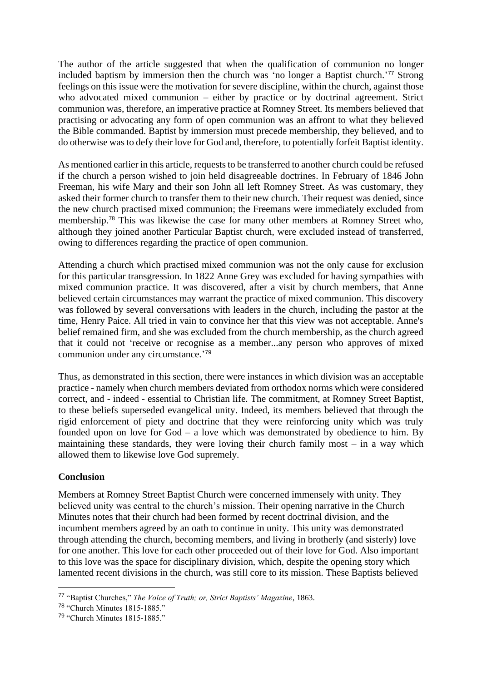The author of the article suggested that when the qualification of communion no longer included baptism by immersion then the church was 'no longer a Baptist church.' <sup>77</sup> Strong feelings on this issue were the motivation for severe discipline, within the church, against those who advocated mixed communion – either by practice or by doctrinal agreement. Strict communion was, therefore, an imperative practice at Romney Street. Its members believed that practising or advocating any form of open communion was an affront to what they believed the Bible commanded. Baptist by immersion must precede membership, they believed, and to do otherwise was to defy their love for God and, therefore, to potentially forfeit Baptist identity.

As mentioned earlier in this article, requests to be transferred to another church could be refused if the church a person wished to join held disagreeable doctrines. In February of 1846 John Freeman, his wife Mary and their son John all left Romney Street. As was customary, they asked their former church to transfer them to their new church. Their request was denied, since the new church practised mixed communion; the Freemans were immediately excluded from membership.<sup>78</sup> This was likewise the case for many other members at Romney Street who, although they joined another Particular Baptist church, were excluded instead of transferred, owing to differences regarding the practice of open communion.

Attending a church which practised mixed communion was not the only cause for exclusion for this particular transgression. In 1822 Anne Grey was excluded for having sympathies with mixed communion practice. It was discovered, after a visit by church members, that Anne believed certain circumstances may warrant the practice of mixed communion. This discovery was followed by several conversations with leaders in the church, including the pastor at the time, Henry Paice. All tried in vain to convince her that this view was not acceptable. Anne's belief remained firm, and she was excluded from the church membership, as the church agreed that it could not 'receive or recognise as a member...any person who approves of mixed communion under any circumstance.' 79

Thus, as demonstrated in this section, there were instances in which division was an acceptable practice - namely when church members deviated from orthodox norms which were considered correct, and - indeed - essential to Christian life. The commitment, at Romney Street Baptist, to these beliefs superseded evangelical unity. Indeed, its members believed that through the rigid enforcement of piety and doctrine that they were reinforcing unity which was truly founded upon on love for God – a love which was demonstrated by obedience to him. By maintaining these standards, they were loving their church family most – in a way which allowed them to likewise love God supremely.

## **Conclusion**

Members at Romney Street Baptist Church were concerned immensely with unity. They believed unity was central to the church's mission. Their opening narrative in the Church Minutes notes that their church had been formed by recent doctrinal division, and the incumbent members agreed by an oath to continue in unity. This unity was demonstrated through attending the church, becoming members, and living in brotherly (and sisterly) love for one another. This love for each other proceeded out of their love for God. Also important to this love was the space for disciplinary division, which, despite the opening story which lamented recent divisions in the church, was still core to its mission. These Baptists believed

<sup>77</sup> "Baptist Churches," *The Voice of Truth; or, Strict Baptists' Magazine*, 1863.

<sup>78</sup> "Church Minutes 1815-1885."

<sup>79</sup> "Church Minutes 1815-1885."